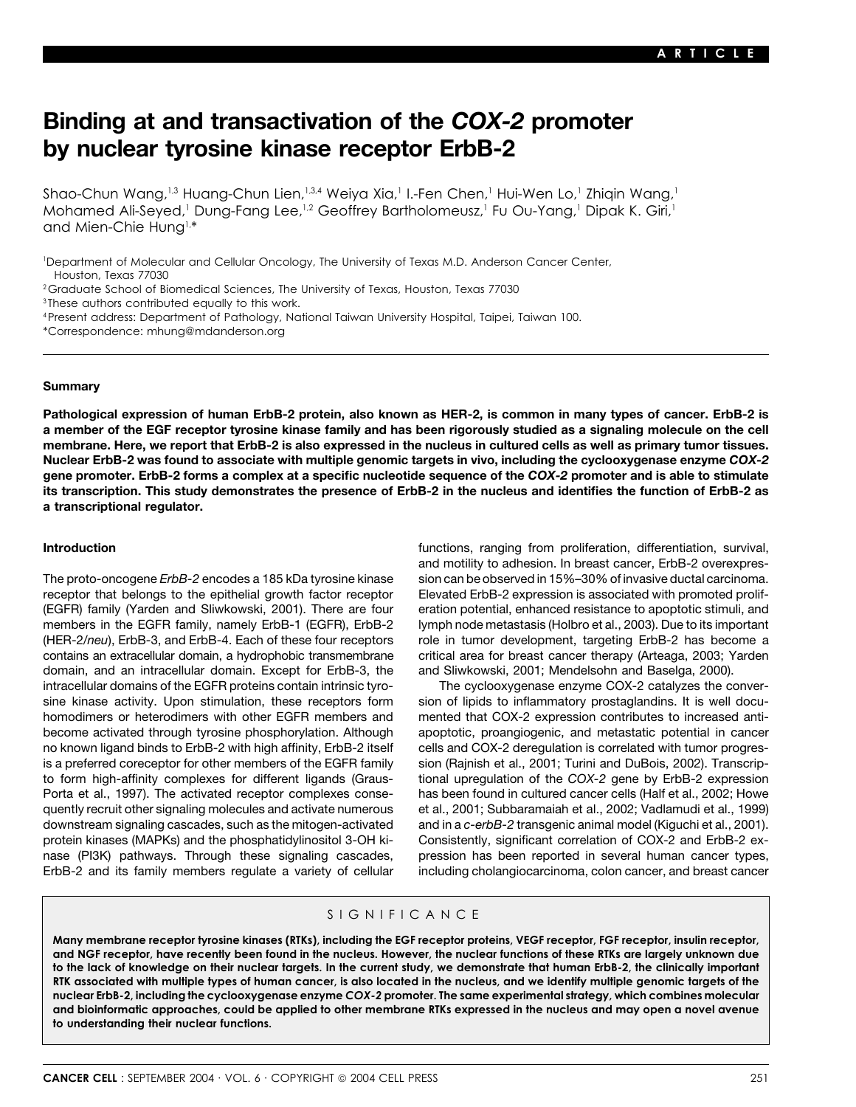# **Binding at and transactivation of the** *COX-2* **promoter by nuclear tyrosine kinase receptor ErbB-2**

Shao-Chun Wang,<sup>1,3</sup> Huang-Chun Lien,<sup>1,3,4</sup> Weiya Xia,<sup>1</sup> I.-Fen Chen,<sup>1</sup> Hui-Wen Lo,<sup>1</sup> Zhiqin Wang,<sup>1</sup> Mohamed Ali-Seyed,<sup>1</sup> Dung-Fang Lee,<sup>1,2</sup> Geoffrey Bartholomeusz,<sup>1</sup> Fu Ou-Yang,<sup>1</sup> Dipak K. Giri,<sup>1</sup> and Mien-Chie Hung1,\*

1 Department of Molecular and Cellular Oncology, The University of Texas M.D. Anderson Cancer Center, Houston, Texas 77030

<sup>2</sup>Graduate School of Biomedical Sciences, The University of Texas, Houston, Texas 77030

<sup>3</sup> These authors contributed equally to this work.

- 4Present address: Department of Pathology, National Taiwan University Hospital, Taipei, Taiwan 100.
- \*Correspondence: mhung@mdanderson.org

### **Summary**

**Pathological expression of human ErbB-2 protein, also known as HER-2, is common in many types of cancer. ErbB-2 is a member of the EGF receptor tyrosine kinase family and has been rigorously studied as a signaling molecule on the cell membrane. Here, we report that ErbB-2 is also expressed in the nucleus in cultured cells as well as primary tumor tissues. Nuclear ErbB-2 was found to associate with multiple genomic targets in vivo, including the cyclooxygenase enzyme** *COX-2* **gene promoter. ErbB-2 forms a complex at a specific nucleotide sequence of the** *COX-2* **promoter and is able to stimulate its transcription. This study demonstrates the presence of ErbB-2 in the nucleus and identifies the function of ErbB-2 as a transcriptional regulator.**

receptor that belongs to the epithelial growth factor receptor Elevated ErbB-2 expression is associated with promoted prolif- (EGFR) family (Yarden and Sliwkowski, 2001). There are four eration potential, enhanced resistance to apoptotic stimuli, and members in the EGFR family, namely ErbB-1 (EGFR), ErbB-2 lymph node metastasis (Holbro et al., 2003). Due to its important (HER-2/*neu*), ErbB-3, and ErbB-4. Each of these four receptors role in tumor development, targeting ErbB-2 has become a contains an extracellular domain, a hydrophobic transmembrane critical area for breast cancer therapy (Arteaga, 2003; Yarden domain, and an intracellular domain. Except for ErbB-3, the and Sliwkowski, 2001; Mendelsohn and Baselga, 2000). intracellular domains of the EGFR proteins contain intrinsic tyro- The cyclooxygenase enzyme COX-2 catalyzes the conversine kinase activity. Upon stimulation, these receptors form sion of lipids to inflammatory prostaglandins. It is well docuhomodimers or heterodimers with other EGFR members and mented that COX-2 expression contributes to increased antibecome activated through tyrosine phosphorylation. Although apoptotic, proangiogenic, and metastatic potential in cancer no known ligand binds to ErbB-2 with high affinity, ErbB-2 itself cells and COX-2 deregulation is correlated with tumor progresis a preferred coreceptor for other members of the EGFR family sion (Rajnish et al., 2001; Turini and DuBois, 2002). Transcripto form high-affinity complexes for different ligands (Graus- tional upregulation of the *COX-2* gene by ErbB-2 expression Porta et al., 1997). The activated receptor complexes conse- has been found in cultured cancer cells (Half et al., 2002; Howe quently recruit other signaling molecules and activate numerous et al., 2001; Subbaramaiah et al., 2002; Vadlamudi et al., 1999) downstream signaling cascades, such as the mitogen-activated and in a *c-erbB-2* transgenic animal model (Kiguchi et al., 2001). protein kinases (MAPKs) and the phosphatidylinositol 3-OH ki- Consistently, significant correlation of COX-2 and ErbB-2 exnase (PI3K) pathways. Through these signaling cascades, pression has been reported in several human cancer types, ErbB-2 and its family members regulate a variety of cellular including cholangiocarcinoma, colon cancer, and breast cancer

**Introduction introduction** *Introduction Introduction Introduction*, survival, and motility to adhesion. In breast cancer, ErbB-2 overexpres-The proto-oncogene *ErbB-2* encodes a 185 kDa tyrosine kinase sion can be observed in 15%–30% of invasive ductal carcinoma.

## SIGNIFICANCE

**Many membrane receptor tyrosine kinases (RTKs), including the EGF receptor proteins, VEGF receptor, FGF receptor, insulin receptor, and NGF receptor, have recently been found in the nucleus. However, the nuclear functions of these RTKs are largely unknown due to the lack of knowledge on their nuclear targets. In the current study, we demonstrate that human ErbB-2, the clinically important RTK associated with multiple types of human cancer, is also located in the nucleus, and we identify multiple genomic targets of the nuclear ErbB-2, including the cyclooxygenase enzyme** *COX-2* **promoter. The same experimental strategy, which combines molecular and bioinformatic approaches, could be applied to other membrane RTKs expressed in the nucleus and may open a novel avenue to understanding their nuclear functions.**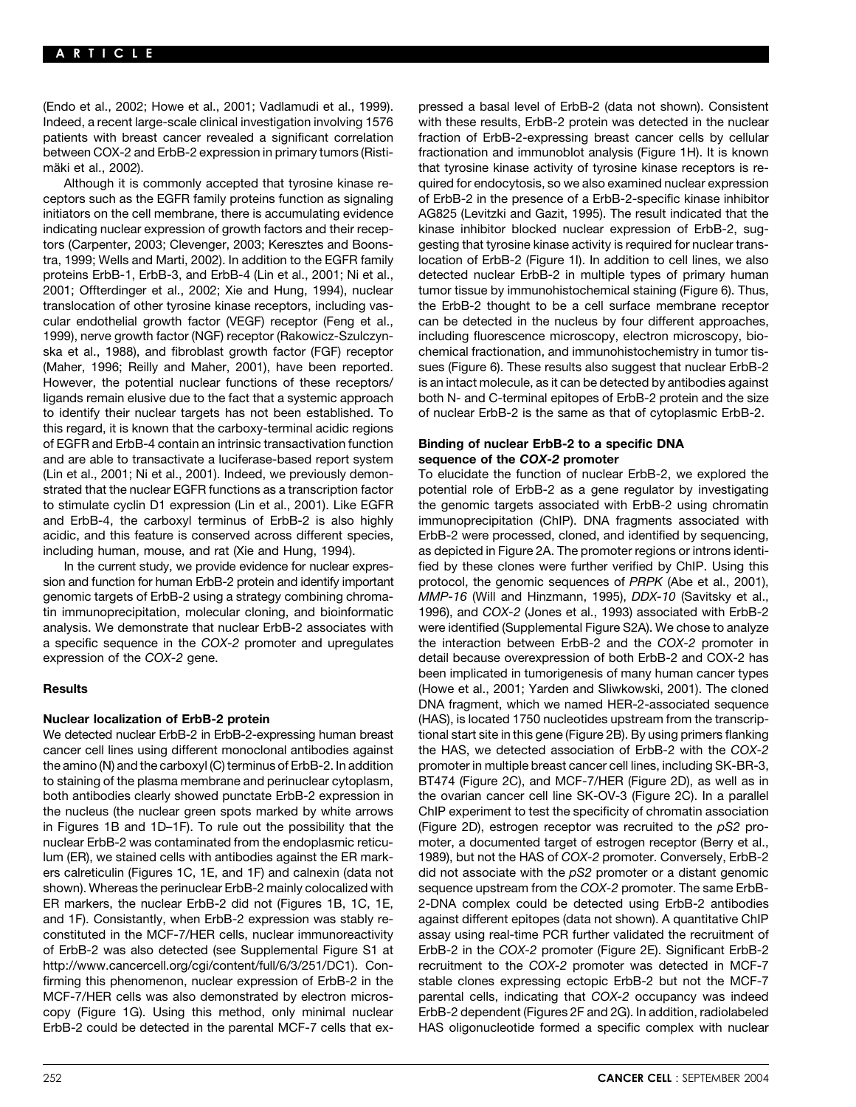(Endo et al., 2002; Howe et al., 2001; Vadlamudi et al., 1999). pressed a basal level of ErbB-2 (data not shown). Consistent Indeed, a recent large-scale clinical investigation involving 1576 with these results, ErbB-2 protein was detected in the nuclear patients with breast cancer revealed a significant correlation fraction of ErbB-2-expressing breast cancer cells by cellular between COX-2 and ErbB-2 expression in primary tumors (Risti- fractionation and immunoblot analysis (Figure 1H). It is known mäki et al., 2002). That tyrosine kinase activity of tyrosine kinase receptors is re-

ceptors such as the EGFR family proteins function as signaling of ErbB-2 in the presence of a ErbB-2-specific kinase inhibitor initiators on the cell membrane, there is accumulating evidence AG825 (Levitzki and Gazit, 1995). The result indicated that the indicating nuclear expression of growth factors and their recep- kinase inhibitor blocked nuclear expression of ErbB-2, sugtors (Carpenter, 2003; Clevenger, 2003; Keresztes and Boons- gesting that tyrosine kinase activity is required for nuclear transtra, 1999; Wells and Marti, 2002). In addition to the EGFR family location of ErbB-2 (Figure 1I). In addition to cell lines, we also proteins ErbB-1, ErbB-3, and ErbB-4 (Lin et al., 2001; Ni et al., detected nuclear ErbB-2 in multiple types of primary human 2001; Offterdinger et al., 2002; Xie and Hung, 1994), nuclear tumor tissue by immunohistochemical staining (Figure 6). Thus, translocation of other tyrosine kinase receptors, including vas- the ErbB-2 thought to be a cell surface membrane receptor cular endothelial growth factor (VEGF) receptor (Feng et al., can be detected in the nucleus by four different approaches, 1999), nerve growth factor (NGF) receptor (Rakowicz-Szulczyn- including fluorescence microscopy, electron microscopy, bioska et al., 1988), and fibroblast growth factor (FGF) receptor chemical fractionation, and immunohistochemistry in tumor tis- (Maher, 1996; Reilly and Maher, 2001), have been reported. sues (Figure 6). These results also suggest that nuclear ErbB-2 However, the potential nuclear functions of these receptors/ is an intact molecule, as it can be detected by antibodies against ligands remain elusive due to the fact that a systemic approach both N- and C-terminal epitopes of ErbB-2 protein and the size to identify their nuclear targets has not been established. To of nuclear ErbB-2 is the same as that of cytoplasmic ErbB-2. this regard, it is known that the carboxy-terminal acidic regions of EGFR and ErbB-4 contain an intrinsic transactivation function **Binding of nuclear ErbB-2 to a specific DNA** and are able to transactivate a luciferase-based report system **sequence of the** *COX-2* **promoter** (Lin et al., 2001; Ni et al., 2001). Indeed, we previously demon- To elucidate the function of nuclear ErbB-2, we explored the strated that the nuclear EGFR functions as a transcription factor potential role of ErbB-2 as a gene regulator by investigating to stimulate cyclin D1 expression (Lin et al., 2001). Like EGFR the genomic targets associated with ErbB-2 using chromatin and ErbB-4, the carboxyl terminus of ErbB-2 is also highly immunoprecipitation (ChIP). DNA fragments associated with acidic, and this feature is conserved across different species, ErbB-2 were processed, cloned, and identified by sequencing, including human, mouse, and rat (Xie and Hung, 1994). as depicted in Figure 2A. The promoter regions or introns identi-

sion and function for human ErbB-2 protein and identify important protocol, the genomic sequences of PRPK (Abe et al., 2001), genomic targets of ErbB-2 using a strategy combining chroma- *MMP-16* (Will and Hinzmann, 1995), *DDX-10* (Savitsky et al., tin immunoprecipitation, molecular cloning, and bioinformatic 1996), and *COX-2* (Jones et al., 1993) associated with ErbB-2 analysis. We demonstrate that nuclear ErbB-2 associates with were identified (Supplemental Figure S2A). We chose to analyze a specific sequence in the *COX-2* promoter and upregulates the interaction between ErbB-2 and the *COX-2* promoter in expression of the *COX-2* gene. detail because overexpression of both ErbB-2 and COX-2 has

We detected nuclear ErbB-2 in ErbB-2-expressing human breast tional start site in this gene (Figure 2B). By using primers flanking cancer cell lines using different monoclonal antibodies against the HAS, we detected association of ErbB-2 with the *COX-2* the amino (N) and the carboxyl (C) terminus of ErbB-2. In addition promoter in multiple breast cancer cell lines, including SK-BR-3, to staining of the plasma membrane and perinuclear cytoplasm, BT474 (Figure 2C), and MCF-7/HER (Figure 2D), as well as in both antibodies clearly showed punctate ErbB-2 expression in the ovarian cancer cell line SK-OV-3 (Figure 2C). In a parallel the nucleus (the nuclear green spots marked by white arrows ChIP experiment to test the specificity of chromatin association in Figures 1B and 1D–1F). To rule out the possibility that the (Figure 2D), estrogen receptor was recruited to the *pS2* pronuclear ErbB-2 was contaminated from the endoplasmic reticu- moter, a documented target of estrogen receptor (Berry et al., lum (ER), we stained cells with antibodies against the ER mark- 1989), but not the HAS of *COX-2* promoter. Conversely, ErbB-2 ers calreticulin (Figures 1C, 1E, and 1F) and calnexin (data not did not associate with the *pS2* promoter or a distant genomic shown). Whereas the perinuclear ErbB-2 mainly colocalized with sequence upstream from the *COX-2* promoter. The same ErbB-ER markers, the nuclear ErbB-2 did not (Figures 1B, 1C, 1E, 2-DNA complex could be detected using ErbB-2 antibodies and 1F). Consistantly, when ErbB-2 expression was stably re- against different epitopes (data not shown). A quantitative ChIP constituted in the MCF-7/HER cells, nuclear immunoreactivity assay using real-time PCR further validated the recruitment of of ErbB-2 was also detected (see Supplemental Figure S1 at ErbB-2 in the *COX-2* promoter (Figure 2E). Significant ErbB-2 http://www.cancercell.org/cgi/content/full/6/3/251/DC1). Con- recruitment to the *COX-2* promoter was detected in MCF-7 firming this phenomenon, nuclear expression of ErbB-2 in the stable clones expressing ectopic ErbB-2 but not the MCF-7 MCF-7/HER cells was also demonstrated by electron micros- parental cells, indicating that *COX-2* occupancy was indeed copy (Figure 1G). Using this method, only minimal nuclear ErbB-2 dependent (Figures 2F and 2G). In addition, radiolabeled ErbB-2 could be detected in the parental MCF-7 cells that ex- HAS oligonucleotide formed a specific complex with nuclear

Although it is commonly accepted that tyrosine kinase re- quired for endocytosis, so we also examined nuclear expression

In the current study, we provide evidence for nuclear expres- fied by these clones were further verified by ChIP. Using this been implicated in tumorigenesis of many human cancer types **Results** (Howe et al., 2001; Yarden and Sliwkowski, 2001). The cloned DNA fragment, which we named HER-2-associated sequence **Nuclear localization of ErbB-2 protein** (HAS), is located 1750 nucleotides upstream from the transcrip-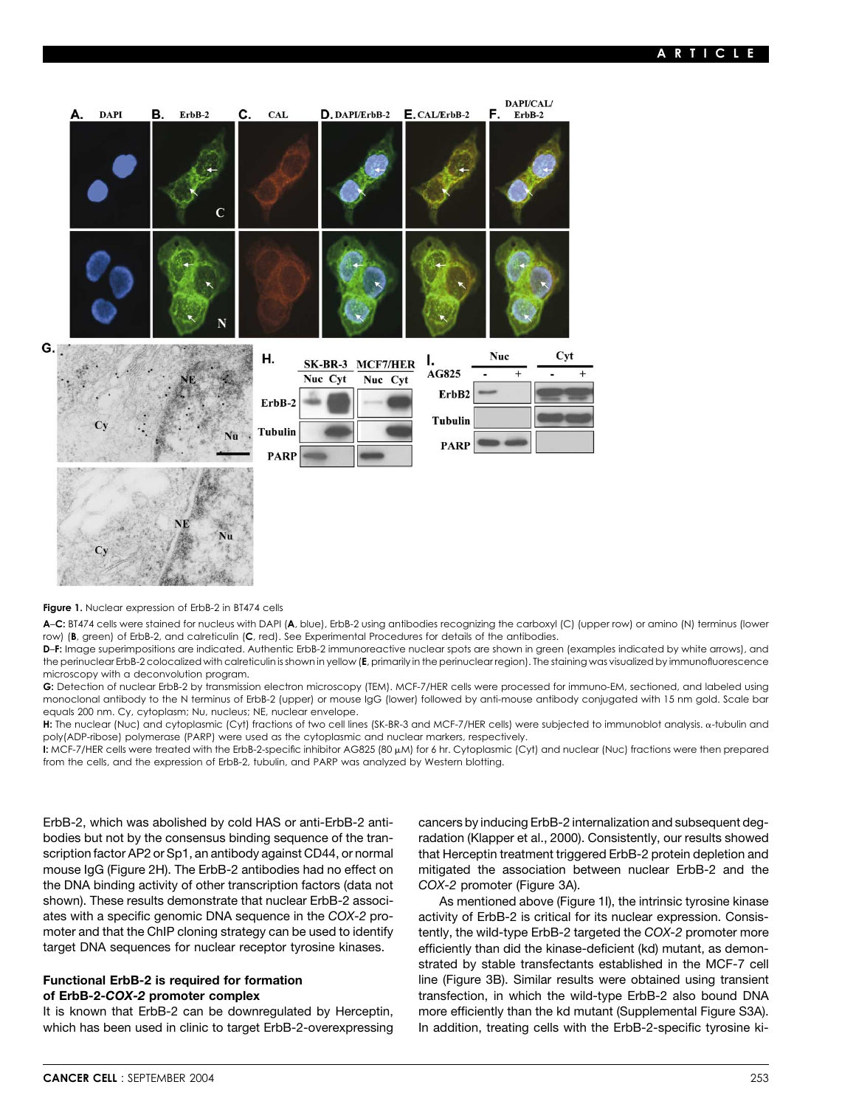

### **Figure 1.** Nuclear expression of ErbB-2 in BT474 cells

**A**–**C:** BT474 cells were stained for nucleus with DAPI (**A**, blue), ErbB-2 using antibodies recognizing the carboxyl (C) (upper row) or amino (N) terminus (lower row) (**B**, green) of ErbB-2, and calreticulin (**C**, red). See Experimental Procedures for details of the antibodies.

**D**–**F:** Image superimpositions are indicated. Authentic ErbB-2 immunoreactive nuclear spots are shown in green (examples indicated by white arrows), and the perinuclear ErbB-2 colocalized with calreticulin is shown in yellow (**E**, primarily in the perinuclear region). The staining was visualized by immunofluorescence microscopy with a deconvolution program.

**G:** Detection of nuclear ErbB-2 by transmission electron microscopy (TEM). MCF-7/HER cells were processed for immuno-EM, sectioned, and labeled using monoclonal antibody to the N terminus of ErbB-2 (upper) or mouse IgG (lower) followed by anti-mouse antibody conjugated with 15 nm gold. Scale bar equals 200 nm. Cy, cytoplasm; Nu, nucleus; NE, nuclear envelope.

H: The nuclear (Nuc) and cytoplasmic (Cyt) fractions of two cell lines (SK-BR-3 and MCF-7/HER cells) were subjected to immunoblot analysis. a-tubulin and poly(ADP-ribose) polymerase (PARP) were used as the cytoplasmic and nuclear markers, respectively.

**I:** MCF-7/HER cells were treated with the ErbB-2-specific inhibitor AG825 (80 µM) for 6 hr. Cytoplasmic (Cyt) and nuclear (Nuc) fractions were then prepared from the cells, and the expression of ErbB-2, tubulin, and PARP was analyzed by Western blotting.

scription factor AP2 or Sp1, an antibody against CD44, or normal that Herceptin treatment triggered ErbB-2 protein depletion and mouse IgG (Figure 2H). The ErbB-2 antibodies had no effect on mitigated the association between nuclear ErbB-2 and the the DNA binding activity of other transcription factors (data not *COX-2* promoter (Figure 3A). shown). These results demonstrate that nuclear ErbB-2 associ- As mentioned above (Figure 1I), the intrinsic tyrosine kinase ates with a specific genomic DNA sequence in the *COX-2* pro- activity of ErbB-2 is critical for its nuclear expression. Consismoter and that the ChIP cloning strategy can be used to identify tently, the wild-type ErbB-2 targeted the *COX-2* promoter more

which has been used in clinic to target ErbB-2-overexpressing In addition, treating cells with the ErbB-2-specific tyrosine ki-

ErbB-2, which was abolished by cold HAS or anti-ErbB-2 anti- cancers by inducing ErbB-2 internalization and subsequent degbodies but not by the consensus binding sequence of the tran- radation (Klapper et al., 2000). Consistently, our results showed

target DNA sequences for nuclear receptor tyrosine kinases. efficiently than did the kinase-deficient (kd) mutant, as demonstrated by stable transfectants established in the MCF-7 cell **Functional ErbB-2 is required for formation in the (Figure 3B).** Similar results were obtained using transient **of ErbB-2-***COX-2* **promoter complex** transfection, in which the wild-type ErbB-2 also bound DNA It is known that ErbB-2 can be downregulated by Herceptin, more efficiently than the kd mutant (Supplemental Figure S3A).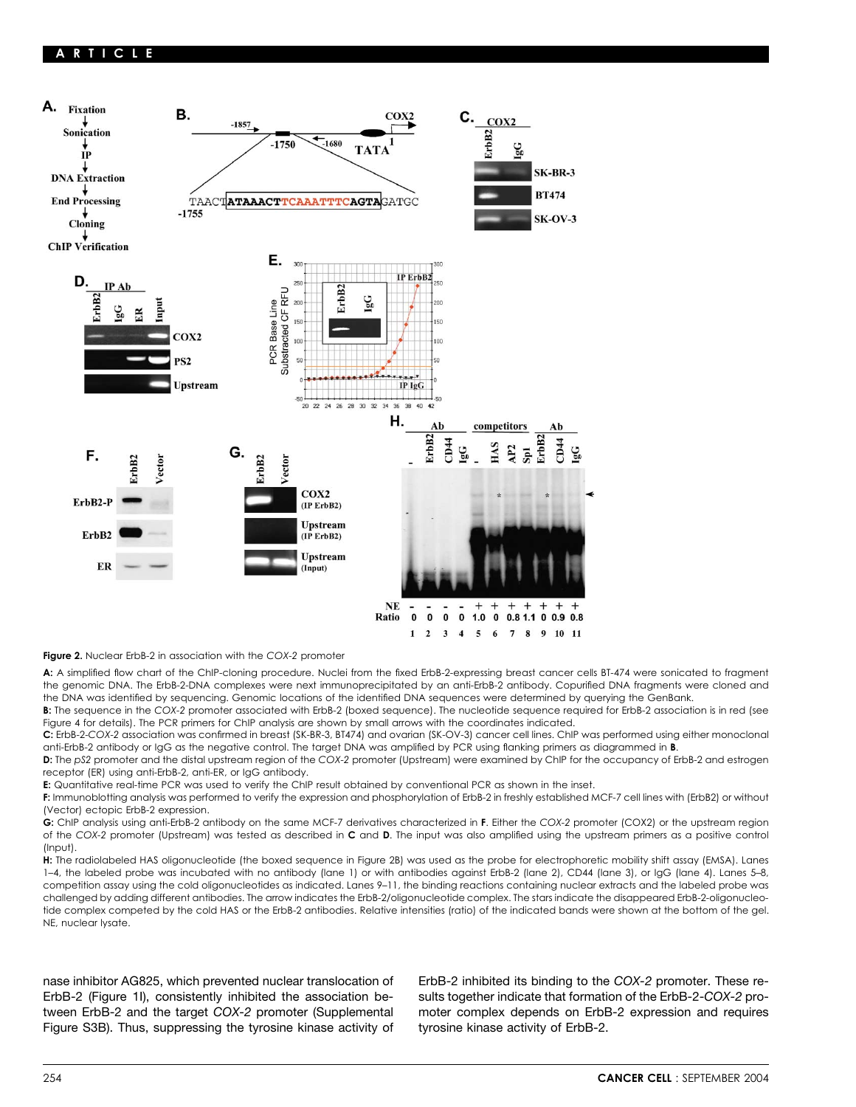

**Figure 2.** Nuclear ErbB-2 in association with the *COX-2* promoter

**A:** A simplified flow chart of the ChIP-cloning procedure. Nuclei from the fixed ErbB-2-expressing breast cancer cells BT-474 were sonicated to fragment the genomic DNA. The ErbB-2-DNA complexes were next immunoprecipitated by an anti-ErbB-2 antibody. Copurified DNA fragments were cloned and the DNA was identified by sequencing. Genomic locations of the identified DNA sequences were determined by querying the GenBank.

**B:** The sequence in the *COX-2* promoter associated with ErbB-2 (boxed sequence). The nucleotide sequence required for ErbB-2 association is in red (see Figure 4 for details). The PCR primers for ChIP analysis are shown by small arrows with the coordinates indicated.

**C:** ErbB-2-*COX-2* association was confirmed in breast (SK-BR-3, BT474) and ovarian (SK-OV-3) cancer cell lines. ChIP was performed using either monoclonal anti-ErbB-2 antibody or IgG as the negative control. The target DNA was amplified by PCR using flanking primers as diagrammed in **B**.

**D:** The *pS2* promoter and the distal upstream region of the *COX-2* promoter (Upstream) were examined by ChIP for the occupancy of ErbB-2 and estrogen receptor (ER) using anti-ErbB-2, anti-ER, or IgG antibody.

**E:** Quantitative real-time PCR was used to verify the ChIP result obtained by conventional PCR as shown in the inset.

**F:** Immunoblotting analysis was performed to verify the expression and phosphorylation of ErbB-2 in freshly established MCF-7 cell lines with (ErbB2) or without (Vector) ectopic ErbB-2 expression.

**G:** ChIP analysis using anti-ErbB-2 antibody on the same MCF-7 derivatives characterized in **F**. Either the *COX-2* promoter (COX2) or the upstream region of the *COX-2* promoter (Upstream) was tested as described in **C** and **D**. The input was also amplified using the upstream primers as a positive control (Input).

**H:** The radiolabeled HAS oligonucleotide (the boxed sequence in Figure 2B) was used as the probe for electrophoretic mobility shift assay (EMSA). Lanes 1–4, the labeled probe was incubated with no antibody (lane 1) or with antibodies against ErbB-2 (lane 2), CD44 (lane 3), or IgG (lane 4). Lanes 5–8, competition assay using the cold oligonucleotides as indicated. Lanes 9–11, the binding reactions containing nuclear extracts and the labeled probe was challenged by adding different antibodies. The arrow indicates the ErbB-2/oligonucleotide complex. The stars indicate the disappeared ErbB-2-oligonucleotide complex competed by the cold HAS or the ErbB-2 antibodies. Relative intensities (ratio) of the indicated bands were shown at the bottom of the gel. NE, nuclear lysate.

ErbB-2 (Figure 1I), consistently inhibited the association be- sults together indicate that formation of the ErbB-2-*COX-2* protween ErbB-2 and the target *COX-2* promoter (Supplemental moter complex depends on ErbB-2 expression and requires Figure S3B). Thus, suppressing the tyrosine kinase activity of tyrosine kinase activity of ErbB-2.

nase inhibitor AG825, which prevented nuclear translocation of ErbB-2 inhibited its binding to the *COX-2* promoter. These re-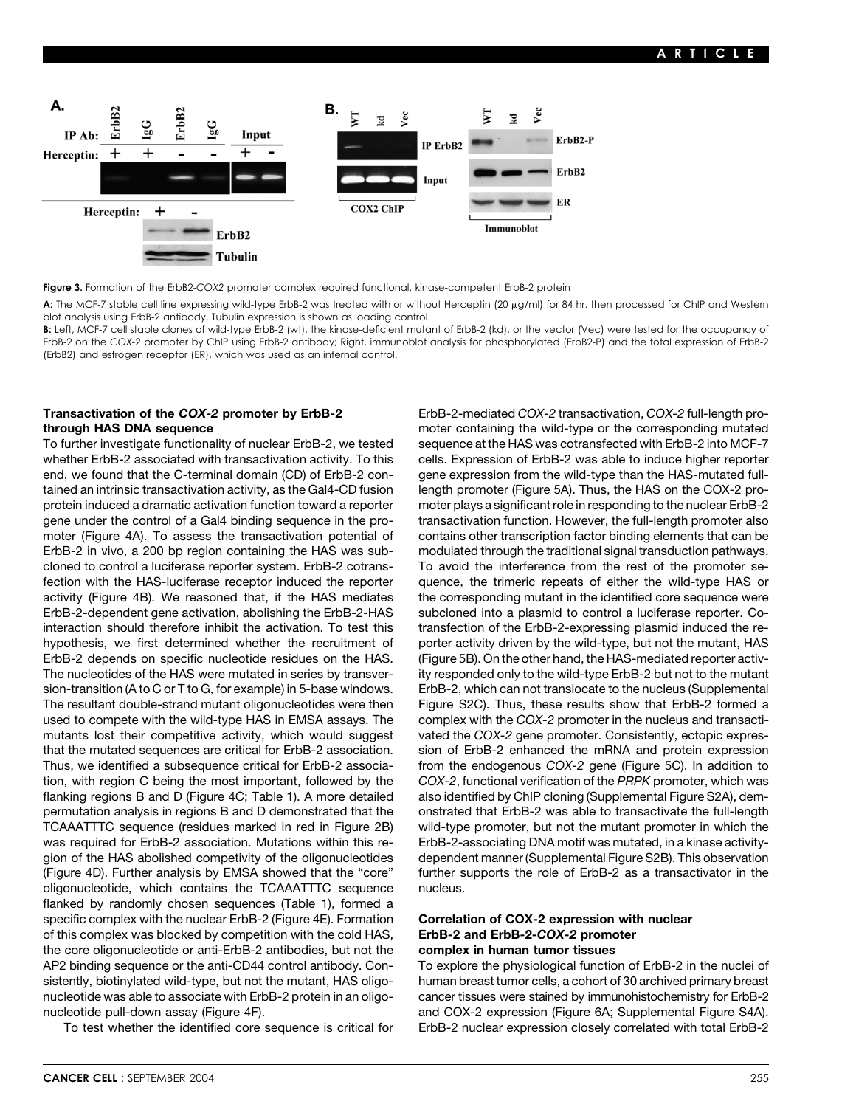

**Figure 3.** Formation of the ErbB2-*COX2* promoter complex required functional, kinase-competent ErbB-2 protein

**A:** The MCF-7 stable cell line expressing wild-type ErbB-2 was treated with or without Herceptin (20 µg/ml) for 84 hr, then processed for ChIP and Western blot analysis using ErbB-2 antibody. Tubulin expression is shown as loading control.

**B:** Left, MCF-7 cell stable clones of wild-type ErbB-2 (wt), the kinase-deficient mutant of ErbB-2 (kd), or the vector (Vec) were tested for the occupancy of ErbB-2 on the *COX-2* promoter by ChIP using ErbB-2 antibody; Right, immunoblot analysis for phosphorylated (ErbB2-P) and the total expression of ErbB-2 (ErbB2) and estrogen receptor (ER), which was used as an internal control.

# **Transactivation of the** *COX-2* **promoter by ErbB-2** ErbB-2-mediated *COX-2* transactivation, *COX-2* full-length pro-

end, we found that the C-terminal domain (CD) of ErbB-2 con- gene expression from the wild-type than the HAS-mutated fulltained an intrinsic transactivation activity, as the Gal4-CD fusion length promoter (Figure 5A). Thus, the HAS on the COX-2 pro-ErbB-2 in vivo, a 200 bp region containing the HAS was sub- modulated through the traditional signal transduction pathways. cloned to control a luciferase reporter system. ErbB-2 cotrans- To avoid the interference from the rest of the promoter seactivity (Figure 4B). We reasoned that, if the HAS mediates the corresponding mutant in the identified core sequence were ErbB-2-dependent gene activation, abolishing the ErbB-2-HAS subcloned into a plasmid to control a luciferase reporter. Cointeraction should therefore inhibit the activation. To test this transfection of the ErbB-2-expressing plasmid induced the re-ErbB-2 depends on specific nucleotide residues on the HAS. (Figure 5B). On the other hand, the HAS-mediated reporter activused to compete with the wild-type HAS in EMSA assays. The complex with the *COX-2* promoter in the nucleus and transactimutants lost their competitive activity, which would suggest vated the *COX-2* gene promoter. Consistently, ectopic expresflanking regions B and D (Figure 4C; Table 1). A more detailed also identified by ChIP cloning (Supplemental Figure S2A), demwas required for ErbB-2 association. Mutations within this re-<br>
ErbB-2-associating DNA motif was mutated, in a kinase activityoligonucleotide, which contains the TCAAATTTC sequence nucleus. flanked by randomly chosen sequences (Table 1), formed a specific complex with the nuclear ErbB-2 (Figure 4E). Formation **Correlation of COX-2 expression with nuclear** of this complex was blocked by competition with the cold HAS, **ErbB-2 and ErbB-2-***COX-2* **promoter** the core oligonucleotide or anti-ErbB-2 antibodies, but not the **complex in human tumor tissues** AP2 binding sequence or the anti-CD44 control antibody. Con- To explore the physiological function of ErbB-2 in the nuclei of sistently, biotinylated wild-type, but not the mutant, HAS oligo- human breast tumor cells, a cohort of 30 archived primary breast nucleotide was able to associate with ErbB-2 protein in an oligo- cancer tissues were stained by immunohistochemistry for ErbB-2 nucleotide pull-down assay (Figure 4F). <br>and COX-2 expression (Figure 6A; Supplemental Figure S4A).

**through HAS DNA sequence moter containing the wild-type or the corresponding mutated** To further investigate functionality of nuclear ErbB-2, we tested sequence at the HAS was cotransfected with ErbB-2 into MCF-7 whether ErbB-2 associated with transactivation activity. To this cells. Expression of ErbB-2 was able to induce higher reporter protein induced a dramatic activation function toward a reporter moter plays a significant role in responding to the nuclear ErbB-2 gene under the control of a Gal4 binding sequence in the pro- transactivation function. However, the full-length promoter also moter (Figure 4A). To assess the transactivation potential of contains other transcription factor binding elements that can be fection with the HAS-luciferase receptor induced the reporter quence, the trimeric repeats of either the wild-type HAS or hypothesis, we first determined whether the recruitment of porter activity driven by the wild-type, but not the mutant, HAS The nucleotides of the HAS were mutated in series by transver- ity responded only to the wild-type ErbB-2 but not to the mutant sion-transition (A to C or T to G, for example) in 5-base windows. ErbB-2, which can not translocate to the nucleus (Supplemental The resultant double-strand mutant oligonucleotides were then Figure S2C). Thus, these results show that ErbB-2 formed a that the mutated sequences are critical for ErbB-2 association. sion of ErbB-2 enhanced the mRNA and protein expression Thus, we identified a subsequence critical for ErbB-2 associa- from the endogenous *COX-2* gene (Figure 5C). In addition to tion, with region C being the most important, followed by the *COX-2*, functional verification of the *PRPK* promoter, which was permutation analysis in regions B and D demonstrated that the onstrated that ErbB-2 was able to transactivate the full-length TCAAATTTC sequence (residues marked in red in Figure 2B) wild-type promoter, but not the mutant promoter in which the gion of the HAS abolished competivity of the oligonucleotides dependent manner (Supplemental Figure S2B). This observation (Figure 4D). Further analysis by EMSA showed that the "core" further supports the role of ErbB-2 as a transactivator in the

To test whether the identified core sequence is critical for ErbB-2 nuclear expression closely correlated with total ErbB-2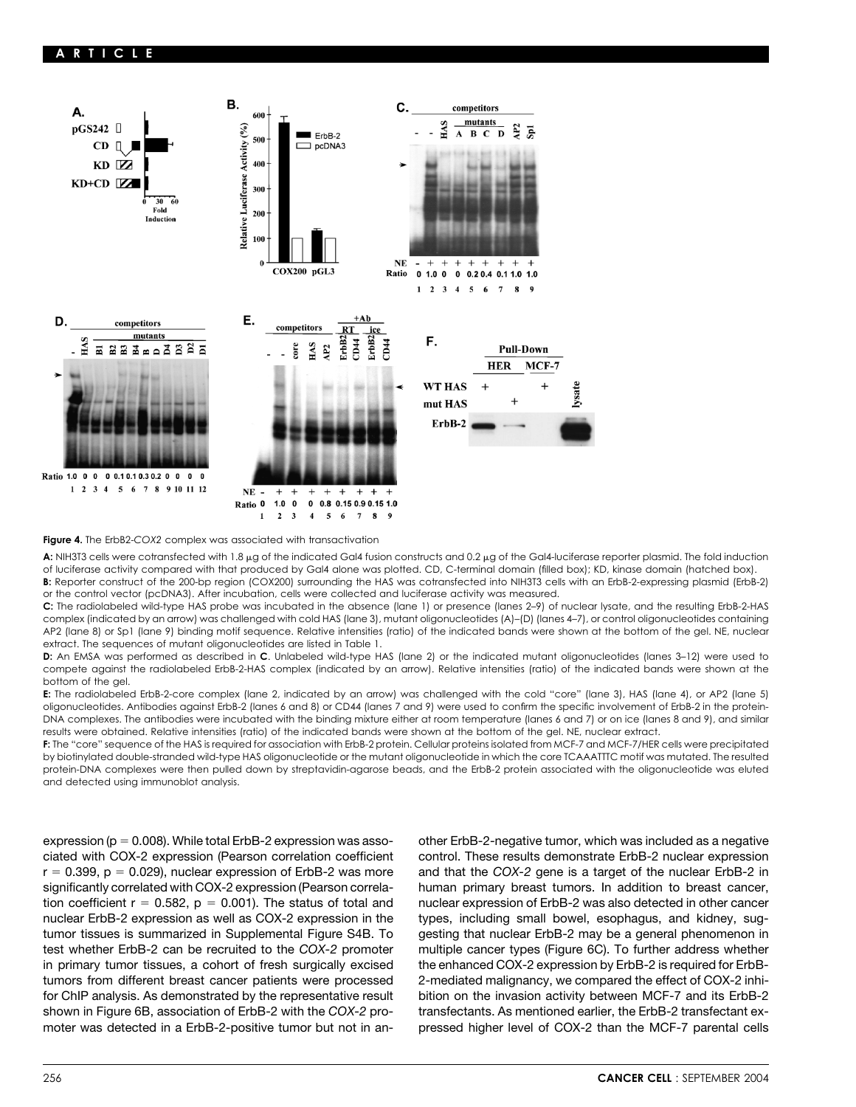

**Figure 4.** The ErbB2-*COX2* complex was associated with transactivation

**A:** NIH3T3 cells were cotransfected with 1.8 µg of the indicated Gal4 fusion constructs and 0.2 µg of the Gal4-luciferase reporter plasmid. The fold induction of luciferase activity compared with that produced by Gal4 alone was plotted. CD, C-terminal domain (filled box); KD, kinase domain (hatched box).

B: Reporter construct of the 200-bp region (COX200) surrounding the HAS was cotransfected into NIH3T3 cells with an ErbB-2-expressing plasmid (ErbB-2) or the control vector (pcDNA3). After incubation, cells were collected and luciferase activity was measured.

**C:** The radiolabeled wild-type HAS probe was incubated in the absence (lane 1) or presence (lanes 2–9) of nuclear lysate, and the resulting ErbB-2-HAS complex (indicated by an arrow) was challenged with cold HAS (lane 3), mutant oligonucleotides (A)–(D) (lanes 4–7), or control oligonucleotides containing AP2 (lane 8) or Sp1 (lane 9) binding motif sequence. Relative intensities (ratio) of the indicated bands were shown at the bottom of the gel. NE, nuclear extract. The sequences of mutant oligonucleotides are listed in Table 1.

**D:** An EMSA was performed as described in **C**. Unlabeled wild-type HAS (lane 2) or the indicated mutant oligonucleotides (lanes 3–12) were used to compete against the radiolabeled ErbB-2-HAS complex (indicated by an arrow). Relative intensities (ratio) of the indicated bands were shown at the bottom of the gel.

**E:** The radiolabeled ErbB-2-core complex (lane 2, indicated by an arrow) was challenged with the cold "core" (lane 3), HAS (lane 4), or AP2 (lane 5) oligonucleotides. Antibodies against ErbB-2 (lanes 6 and 8) or CD44 (lanes 7 and 9) were used to confirm the specific involvement of ErbB-2 in the protein-DNA complexes. The antibodies were incubated with the binding mixture either at room temperature (lanes 6 and 7) or on ice (lanes 8 and 9), and similar results were obtained. Relative intensities (ratio) of the indicated bands were shown at the bottom of the gel. NE, nuclear extract.

**F:** The "core" sequence of the HAS is required for association with ErbB-2 protein. Cellular proteins isolated from MCF-7 and MCF-7/HER cells were precipitated by biotinylated double-stranded wild-type HAS oligonucleotide or the mutant oligonucleotide in which the core TCAAATTTC motif was mutated. The resulted protein-DNA complexes were then pulled down by streptavidin-agarose beads, and the ErbB-2 protein associated with the oligonucleotide was eluted and detected using immunoblot analysis.

ciated with COX-2 expression (Pearson correlation coefficient control. These results demonstrate ErbB-2 nuclear expression  $r = 0.399$ ,  $p = 0.029$ ), nuclear expression of ErbB-2 was more and that the *COX-2* gene is a target of the nuclear ErbB-2 in significantly correlated with COX-2 expression (Pearson correla- human primary breast tumors. In addition to breast cancer, tion coefficient  $r = 0.582$ ,  $p = 0.001$ ). The status of total and nuclear expression of ErbB-2 was also detected in other cancer nuclear ErbB-2 expression as well as COX-2 expression in the types, including small bowel, esophagus, and kidney, sugtumor tissues is summarized in Supplemental Figure S4B. To gesting that nuclear ErbB-2 may be a general phenomenon in test whether ErbB-2 can be recruited to the *COX-2* promoter multiple cancer types (Figure 6C). To further address whether in primary tumor tissues, a cohort of fresh surgically excised the enhanced COX-2 expression by ErbB-2 is required for ErbBtumors from different breast cancer patients were processed 2-mediated malignancy, we compared the effect of COX-2 inhifor ChIP analysis. As demonstrated by the representative result bition on the invasion activity between MCF-7 and its ErbB-2 shown in Figure 6B, association of ErbB-2 with the *COX-2* pro- transfectants. As mentioned earlier, the ErbB-2 transfectant ex-

expression ( $p = 0.008$ ). While total ErbB-2 expression was asso-<br>other ErbB-2-negative tumor, which was included as a negative moter was detected in a ErbB-2-positive tumor but not in an- pressed higher level of COX-2 than the MCF-7 parental cells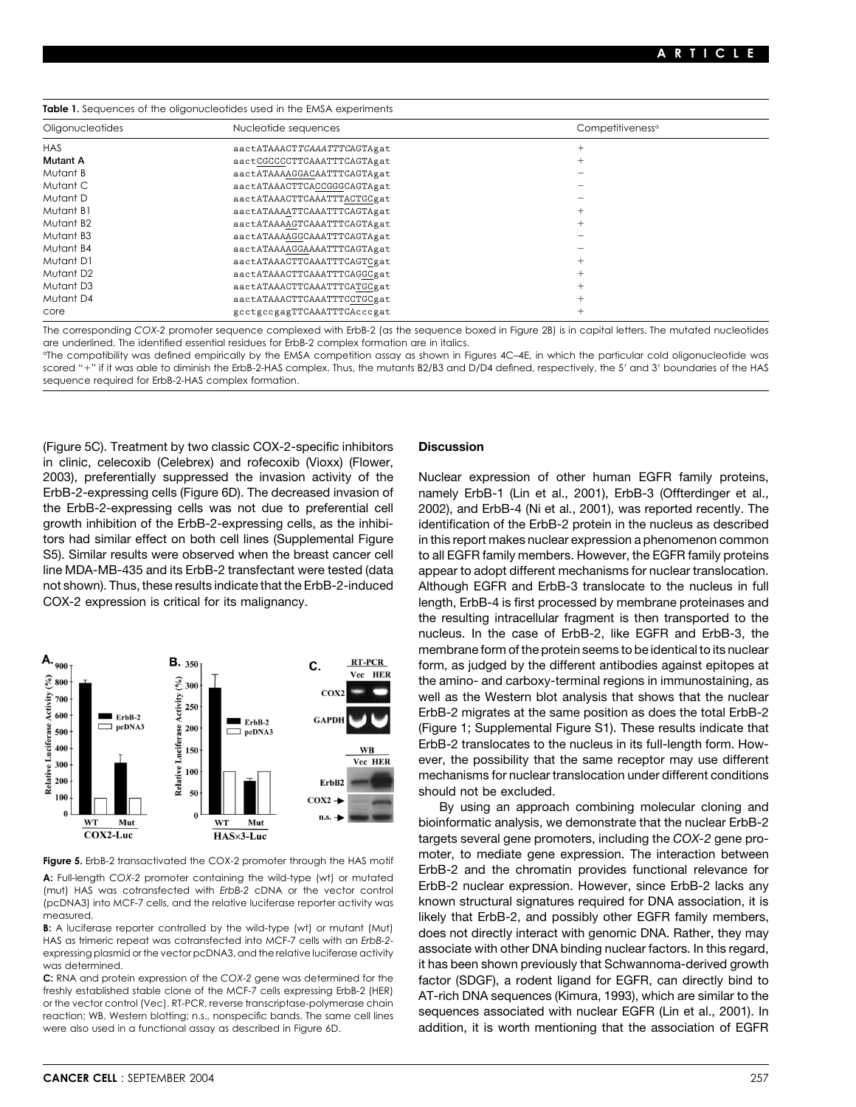**Table 1.** Sequences of the oligonucleotides used in the EMSA experiments

| Oligonucleotides      | Nucleotide sequences        | Competitiveness <sup>a</sup> |  |
|-----------------------|-----------------------------|------------------------------|--|
| <b>HAS</b>            | aactATAAACTTCAAATTTCAGTAgat |                              |  |
| <b>Mutant A</b>       | aactCGCCCCTTCAAATTTCAGTAgat |                              |  |
| Mutant B              | aactATAAAAGGACAATTTCAGTAgat |                              |  |
| Mutant C              | aactATAAACTTCACCGGGCAGTAgat |                              |  |
| Mutant D              | aactATAAACTTCAAATTTACTGCgat |                              |  |
| Mutant B1             | aactATAAAATTCAAATTTCAGTAgat |                              |  |
| Mutant B2             | aactATAAAAGTCAAATTTCAGTAgat |                              |  |
| Mutant B3             | aactATAAAAGGCAAATTTCAGTAgat |                              |  |
| Mutant B4             | aactATAAAAGGAAAATTTCAGTAgat |                              |  |
| Mutant D1             | aactATAAACTTCAAATTTCAGTCgat |                              |  |
| Mutant D <sub>2</sub> | aactATAAACTTCAAATTTCAGGCgat |                              |  |
| Mutant D3             | aactATAAACTTCAAATTTCATGCgat |                              |  |
| Mutant D4             | aactATAAACTTCAAATTTCCTGCgat |                              |  |
| core                  | gectgeegagTTCAAATTTCAccegat |                              |  |

The corresponding *COX-2* promoter sequence complexed with ErbB-2 (as the sequence boxed in Figure 2B) is in capital letters. The mutated nucleotides are underlined. The identified essential residues for ErbB-2 complex formation are in italics.

aThe compatibility was defined empirically by the EMSA competition assay as shown in Figures 4C–4E, in which the particular cold oligonucleotide was scored "+" if it was able to diminish the ErbB-2-HAS complex. Thus, the mutants B2/B3 and D/D4 defined, respectively, the 5' and 3' boundaries of the HAS sequence required for ErbB-2-HAS complex formation.

(Figure 5C). Treatment by two classic COX-2-specific inhibitors **Discussion** in clinic, celecoxib (Celebrex) and rofecoxib (Vioxx) (Flower, 2003), preferentially suppressed the invasion activity of the Nuclear expression of other human EGFR family proteins, ErbB-2-expressing cells (Figure 6D). The decreased invasion of namely ErbB-1 (Lin et al., 2001), ErbB-3 (Offterdinger et al., the ErbB-2-expressing cells was not due to preferential cell 2002), and ErbB-4 (Ni et al., 2001), was reported recently. The growth inhibition of the ErbB-2-expressing cells, as the inhibi- identification of the ErbB-2 protein in the nucleus as described tors had similar effect on both cell lines (Supplemental Figure in this report makes nuclear expression a phenomenon common S5). Similar results were observed when the breast cancer cell to all EGFR family members. However, the EGFR family proteins line MDA-MB-435 and its ErbB-2 transfectant were tested (data appear to adopt different mechanisms for nuclear translocation. not shown). Thus, these results indicate that the ErbB-2-induced Although EGFR and ErbB-3 translocate to the nucleus in full





**B:** A luctierase reporter controlled by the wild-type (wi) or mutant (wu) does not directly interact with genomic DNA. Rather, they may<br>HAS as trimeric repeat was cotransfected into MCF-7 cells with an ErbB-2-<br>expressing

reaction; WB, Western blotting; n.s., nonspecific bands. The same cell lines sequences associated with nuclear EGFR (Lin et al., 2001). In were also used in a functional assay as described in Figure 6D. **addition, it is worth mentioning that the association of EGFR** 

COX-2 expression is critical for its malignancy. length, ErbB-4 is first processed by membrane proteinases and the resulting intracellular fragment is then transported to the nucleus. In the case of ErbB-2, like EGFR and ErbB-3, the membrane form of the protein seems to be identical to its nuclear form, as judged by the different antibodies against epitopes at the amino- and carboxy-terminal regions in immunostaining, as well as the Western blot analysis that shows that the nuclear ErbB-2 migrates at the same position as does the total ErbB-2 (Figure 1; Supplemental Figure S1). These results indicate that ErbB-2 translocates to the nucleus in its full-length form. However, the possibility that the same receptor may use different mechanisms for nuclear translocation under different conditions should not be excluded.

By using an approach combining molecular cloning and bioinformatic analysis, we demonstrate that the nuclear ErbB-2 targets several gene promoters, including the *COX-2* gene promoter, to mediate gene expression. The interaction between **Figure 5.** ErbB-2 transactivated the COX-2 promoter through the HAS motif A: Full-length COX-2 promoter containing the wild-type (wt) or mutated<br>A: Full-length COX-2 promoter containing the wild-type (wt) or mutated<br>(mut) HAS was cotransfected with ErbB-2 cDNA or the vector control ErbB-2 nuclea (pcDNA3) into MCF-7 cells, and the relative luciferase reporter activity was known structural signatures required for DNA association, it is measured.<br>**B:** A luciferase reporter controlled by the wild-type (wt) or mutant (Mut) and as not directly interact with genomic DNA. Bather, they may was determined. **it has been shown previously that Schwannoma-derived growth** it has been shown previously that Schwannoma-derived growth C: RNA and protein expression of the COX-2 gene was determined for the factor (SDGF), a rodent ligand for EGFR, can directly bind to freshly established stable clone of the MCF-7 cells expressing ErbB-2 (HER) <br>or the vecto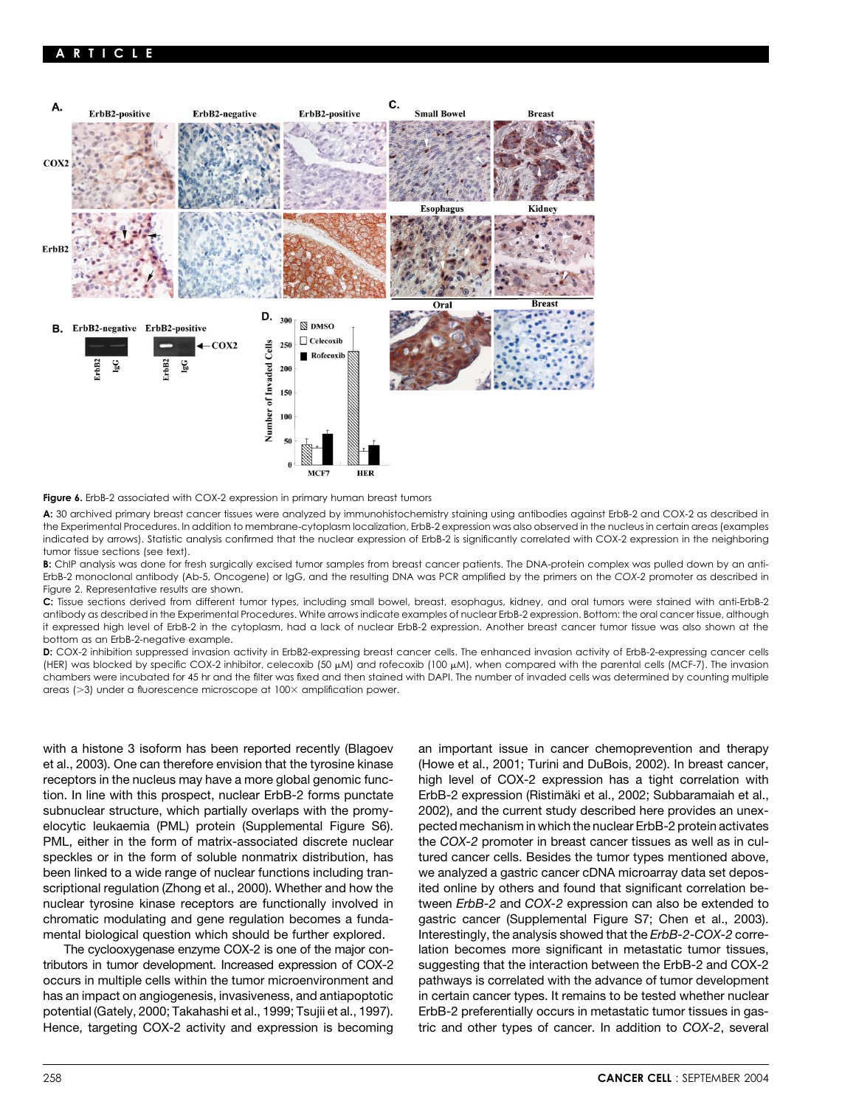

Figure 6. ErbB-2 associated with COX-2 expression in primary human breast tumors

**A:** 30 archived primary breast cancer tissues were analyzed by immunohistochemistry staining using antibodies against ErbB-2 and COX-2 as described in the Experimental Procedures. In addition to membrane-cytoplasm localization, ErbB-2 expression was also observed in the nucleus in certain areas (examples indicated by arrows). Statistic analysis confirmed that the nuclear expression of ErbB-2 is significantly correlated with COX-2 expression in the neighboring tumor tissue sections (see text).

**B:** ChIP analysis was done for fresh surgically excised tumor samples from breast cancer patients. The DNA-protein complex was pulled down by an anti-ErbB-2 monoclonal antibody (Ab-5, Oncogene) or IgG, and the resulting DNA was PCR amplified by the primers on the *COX-2* promoter as described in Figure 2. Representative results are shown.

**C:** Tissue sections derived from different tumor types, including small bowel, breast, esophagus, kidney, and oral tumors were stained with anti-ErbB-2 antibody as described in the Experimental Procedures. White arrows indicate examples of nuclear ErbB-2 expression. Bottom: the oral cancer tissue, although it expressed high level of ErbB-2 in the cytoplasm, had a lack of nuclear ErbB-2 expression. Another breast cancer tumor tissue was also shown at the bottom as an ErbB-2-negative example.

**D:** COX-2 inhibition suppressed invasion activity in ErbB2-expressing breast cancer cells. The enhanced invasion activity of ErbB-2-expressing cancer cells (HER) was blocked by specific COX-2 inhibitor, celecoxib (50 µM) and rofecoxib (100 µM), when compared with the parental cells (MCF-7). The invasion chambers were incubated for 45 hr and the filter was fixed and then stained with DAPI. The number of invaded cells was determined by counting multiple  $\alpha$ reas ( $>$ 3) under a fluorescence microscope at 100 $\times$  amplification power.

et al., 2003). One can therefore envision that the tyrosine kinase (Howe et al., 2001; Turini and DuBois, 2002). In breast cancer, tion. In line with this prospect, nuclear ErbB-2 forms punctate ErbB-2 expression (Ristimäki et al., 2002; Subbaramaiah et al., subnuclear structure, which partially overlaps with the promy- 2002), and the current study described here provides an unexelocytic leukaemia (PML) protein (Supplemental Figure S6). pected mechanism in which the nuclear ErbB-2 protein activates PML, either in the form of matrix-associated discrete nuclear the *COX-2* promoter in breast cancer tissues as well as in culspeckles or in the form of soluble nonmatrix distribution, has tured cancer cells. Besides the tumor types mentioned above, been linked to a wide range of nuclear functions including tran- we analyzed a gastric cancer cDNA microarray data set deposscriptional regulation (Zhong et al., 2000). Whether and how the ited online by others and found that significant correlation benuclear tyrosine kinase receptors are functionally involved in tween *ErbB-2* and *COX-2* expression can also be extended to chromatic modulating and gene regulation becomes a funda- gastric cancer (Supplemental Figure S7; Chen et al., 2003). mental biological question which should be further explored. Interestingly, the analysis showed that the *ErbB-2*-*COX-2* corre-

tributors in tumor development. Increased expression of COX-2 suggesting that the interaction between the ErbB-2 and COX-2 potential (Gately, 2000; Takahashi et al., 1999; Tsujii et al., 1997). ErbB-2 preferentially occurs in metastatic tumor tissues in gas-

with a histone 3 isoform has been reported recently (Blagoev an important issue in cancer chemoprevention and therapy receptors in the nucleus may have a more global genomic func- high level of COX-2 expression has a tight correlation with The cyclooxygenase enzyme COX-2 is one of the major con- lation becomes more significant in metastatic tumor tissues, occurs in multiple cells within the tumor microenvironment and pathways is correlated with the advance of tumor development has an impact on angiogenesis, invasiveness, and antiapoptotic in certain cancer types. It remains to be tested whether nuclear Hence, targeting COX-2 activity and expression is becoming tric and other types of cancer. In addition to *COX-2*, several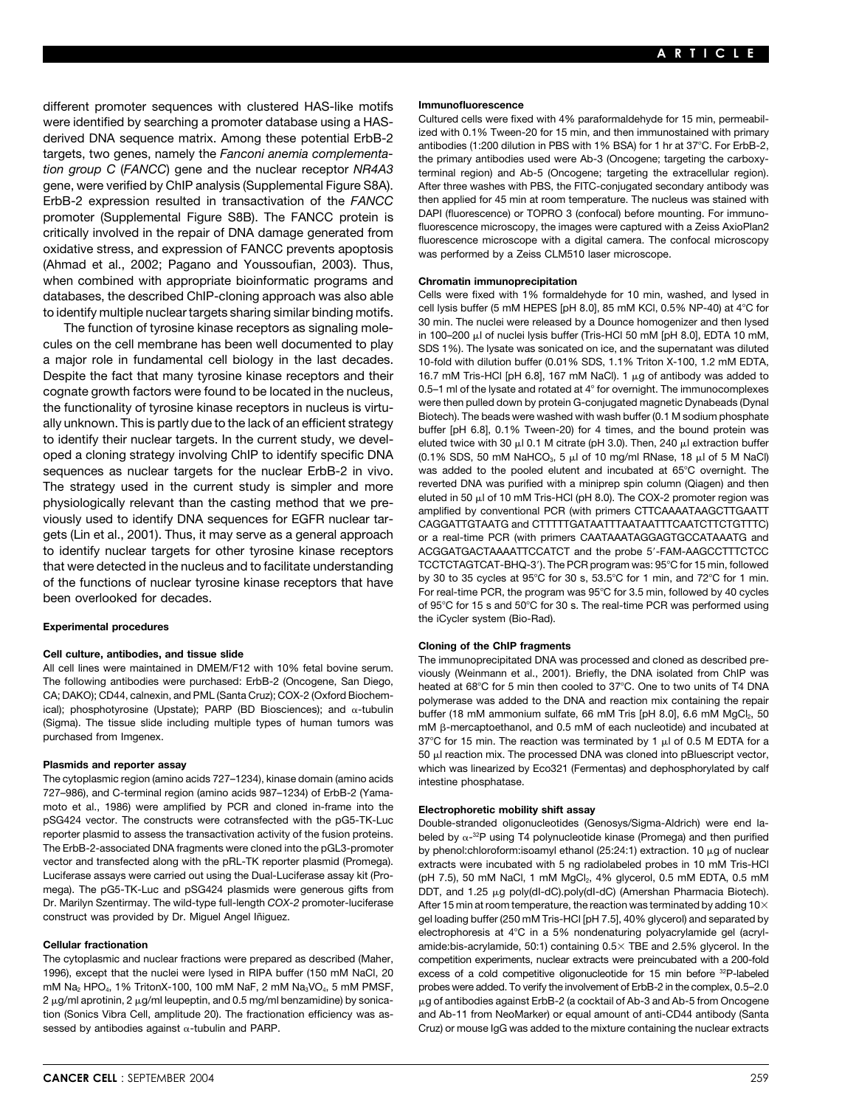different promoter sequences with clustered HAS-like motifs **Immunofluorescence** were identified by searching a promoter database using a HAS-<br>derived DNA seguange metrix. Among these patential FrbB 3 and ized with 0.1% Tween-20 for 15 min, and then immunostained with primary derived DNA sequence matrix. Among these potential ErbB-2<br>targets, two genes, namely the Fanconi anemia complementa-<br>the primary antibodies used were Ab-3 (Oncogene; targeting the carboxy*tion group C* (*FANCC*) gene and the nuclear receptor *NR4A3* terminal region) and Ab-5 (Oncogene; targeting the extracellular region). gene, were verified by ChIP analysis (Supplemental Figure S8A). After three washes with PBS, the FITC-conjugated secondary antibody was ErbB-2 expression resulted in transactivation of the *FANCC* then applied for 45 min at room temperature. The nucleus was stained with<br>Dependent (Supplemental Figure S8B) The FANCC protein is DAPI (fluorescence) or TOPRO 3 promoter (Supplemental Figure S8B). The FANCC protein is<br>critically involved in the repair of DNA damage generated from<br>oxidative stress, and expression of FANCC prevents apoptosis<br>was performed by a Zeiss CLM510 laser mic (Ahmad et al., 2002; Pagano and Youssoufian, 2003). Thus, when combined with appropriate bioinformatic programs and **Chromatin immunoprecipitation** databases, the described ChIP-cloning approach was also able Cells were fixed with 1% formaldehyde for 10 min, washed, and lysed in<br>to identify multiple nuclear targets sharing similar binding motifs cell lysis buffer (5 m

cules on the cell membrane has been well documented to play SDS 1%). The lysate was sonicated on ice, and the supernatant was diluted a major role in fundamental cell biology in the last decades. 10-fold with dilution buffer (0.01% SDS, 1.1% Triton X-100, 1.2 mM EDTA, Despite the fact that many tyrosine kinase receptors and their cognate growth factors were found to be located in the nucleus, 0.5–1 ml of the lysate and rotated at 4° for overnight. The immunocomplexes<br>the functionality of tyrosine kinese receptors in pucleus is virtured were then pu the functionality of tyrosine kinase receptors in nucleus is virtu-<br>ally unknown. This is partly due to the lack of an efficient strategy<br>to identify their nuclear targets. In the current study, we devel-<br>turfed twice with oped a cloning strategy involving ChIP to identify specific DNA sequences as nuclear targets for the nuclear ErbB-2 in vivo. was added to the pooled elutent and incubated at 65°C overnight. The<br>The strategy used in the current study is simpler and more severted DNA was purified with a The strategy used in the current study is simpler and more reverted DNA was purified with a miniprep spin column (Qiagen) and then The column (Qiagen) and then The corrent study is simpler and more eluted in 50  $\mu$  of 10 physiologically relevant than the casting method that we pre-<br>viously used to identify DNA sequences for EGFR nuclear tar-<br>gets (Lin et al., 2001). Thus, it may serve as a general approach<br>gets (Lin et al., 2001). Thus, it to identify nuclear targets for other tyrosine kinase receptors ACGGATGACTAAAATTCCATCT and the probe 5-FAM-AAGCCTTTCTCC that were detected in the nucleus and to facilitate understanding TCCTCTAGTCAT-BHQ-3'). The PCR program was: 95°C for 15 min, followed<br>Of the functions of nuclear tyrosine kinase receptors that have by 30 to 35 cycles at 9

(Sigma). The tissue slide including multiple types of human tumors was purchased from Imgenex.

The cytoplasmic region (amino acids 727-1234), kinase domain (amino acids intestine phosphatase. 727–986), and C-terminal region (amino acids 987–1234) of ErbB-2 (Yamamoto et al., 1986) were amplified by PCR and cloned in-frame into the **Electrophoretic mobility shift assay**<br>pSG424 vector. The constructs were cotransfected with the pG5-TK-Luc Double-stranded oligonucleotides (G pSG424 vector. The constructs were cotransfected with the pG5-TK-Luc pouble-stranded oligonucleotides (Genosys/Sigma-Aldrich) were end la-<br>Teporter plasmid to assess the transactivation activity of the fusion proteins. The The ErbB-2-associated DNA fragments were cloned into the pGL3-promoter vector and transfected along with the pRL-TK reporter plasmid (Promega). extracts were incubated with 5 ng radiolabeled probes in 10 mM Tris-HCl<br>Luciferase assays were carried out using the Dual-Luciferase assay kit (Pro mega). The pG5-TK-Luc and pSG424 plasmids were generous gifts from<br>Dr. Marilyn Szentirmay. The wild-type full-length COX-2 promoter-luciferase

1996), except that the nuclei were lysed in RIPA buffer (150 mM NaCl, 20 excess of a cold competitive oligonucleotide for 15 min before <sup>32</sup>P-labeled mM Na<sub>2</sub> HPO<sub>4</sub>, 1% TritonX-100, 100 mM NaF, 2 mM Na<sub>3</sub>VO<sub>4</sub>, 5 mM PMSF, probes were added. To verify the involvement of ErbB-2 in the complex, 0.5–2.0 2  $\mu$ g/ml aprotinin, 2  $\mu$ g/ml leupeptin, and 0.5 mg/ml benzamidine) by sonica-  $-\mu$ tion (Sonics Vibra Cell, amplitude 20). The fractionation efficiency was as- and Ab-11 from NeoMarker) or equal amount of anti-CD44 antibody (Santa sessed by antibodies against  $\alpha$ -tubulin and PARP. Cruz) or mouse IgG was added to the mixture containing the nuclear extracts

to identify multiple nuclear targets sharing similar binding motifs.<br>The function of tyrosine kinase receptors as signaling mole-<br>The function of tyrosine kinase receptors as signaling mole-<br>in 100–200 µl of nuclei lysis b 16.7 mM Tris-HCl [pH 6.8], 167 mM NaCl). 1  $\mu$ g of antibody was added to l 0.1 M citrate (pH 3.0). Then, 240 µl extraction buffer l of 10 mg/ml RNase, 18 µl of 5 M NaCl) or a real-time PCR (with primers CAATAAATAGGAGTGCCATAAATG and of the functions of nuclear tyrosine kinase receptors that have by 30 to 35 cycles at 95°C for 30 s, 53.5°C for 1 min, and 72°C for 1 min.<br>For real-time PCR, the program was 95°C for 3.5 min, followed by 40 cycles<br>of 95°C the iCycler system (Bio-Rad). **Experimental procedures**

**Cloning of the ChIP fragments**<br>All cell lines were maintained in DMEM/F12 with 10% fetal bovine serum.<br>The immunoprecipitated DNA was processed and cloned as described pre-<br>The following antibodies were purchased: ErbB-2 CA, DANO), CD44, Califexin, and PML (Santa Cruz), COA-2 (Oxford Biochemi-<br>ical); phosphotyrosine (Upstate); PARP (BD Biosciences); and α-tubulin buffer (18 mM ammonium sulfate, 66 mM Tris [pH 8.0], 6.6 mM MgCl<sub>2</sub>, 50 mM  $\beta$ -mercaptoethanol, and 0.5 mM of each nucleotide) and incubated at 37°C for 15 min. The reaction was terminated by 1  $\mu$ l of 0.5 M EDTA for a  $50$   $\mu$ l reaction mix. The processed DNA was cloned into pBluescript vector, **Plasmids and reporter assay** which was linearized by Eco321 (Fermentas) and dephosphorylated by calf

beled by  $\alpha$ -<sup>32</sup>P using T4 polynucleotide kinase (Promega) and then purified by phenol: chloroform: isoamyl ethanol (25:24:1) extraction. 10  $\mu$ g of nuclear (pH 7.5), 50 mM NaCl, 1 mM MgCl<sub>2</sub>, 4% glycerol, 0.5 mM EDTA, 0.5 mM DDT, and 1.25 µg poly(dI-dC).poly(dI-dC) (Amershan Pharmacia Biotech). After 15 min at room temperature, the reaction was terminated by adding 10 $\times$ construct was provided by Dr. Miguel Angel Iñiguez. examples and the separated by the separated by the separated by electrophoresis at 4°C in a 5% nondenaturing polyacrylamide gel (acryl-**Cellular fractionation** and animation amide:bis-acrylamide, 50:1) containing 0.5 X TBE and 2.5% glycerol. In the The cytoplasmic and nuclear fractions were prepared as described (Maher, competition experiments, nuclear extracts were preincubated with a 200-fold g of antibodies against ErbB-2 (a cocktail of Ab-3 and Ab-5 from Oncogene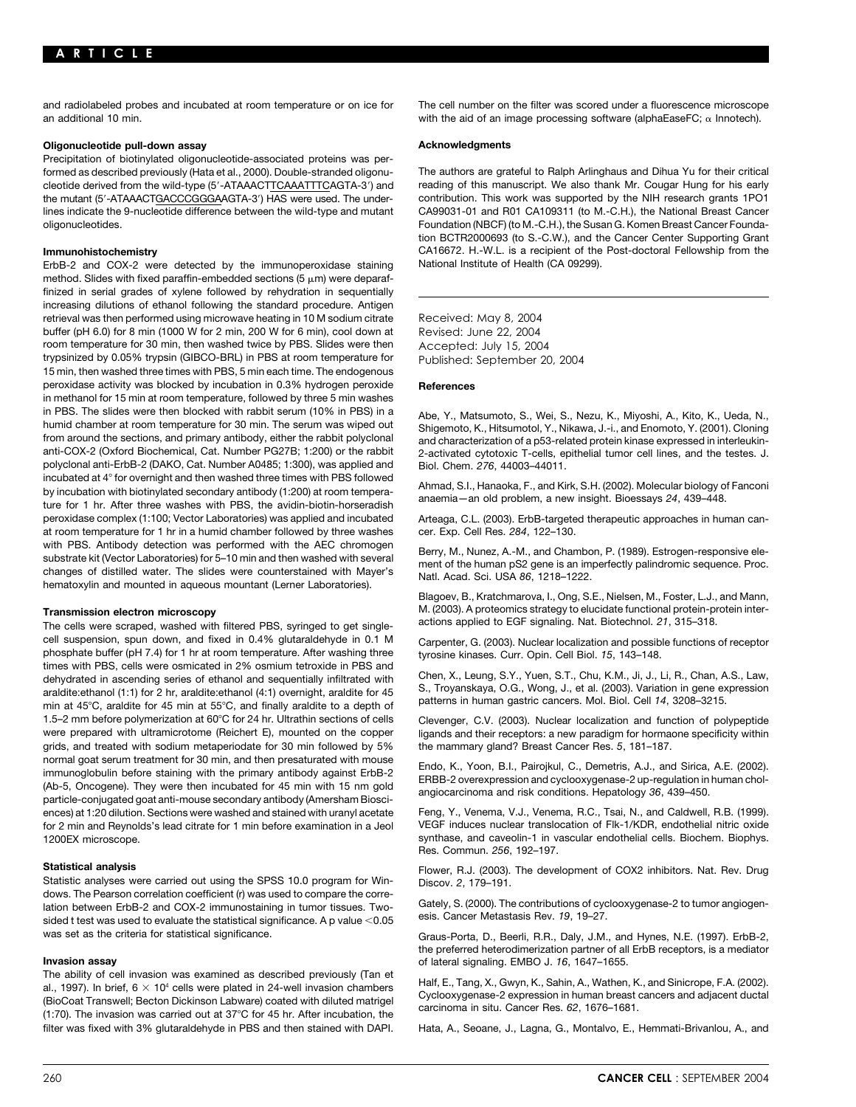and radiolabeled probes and incubated at room temperature or on ice for The cell number on the filter was scored under a fluorescence microscope an additional 10 min.  $\blacksquare$  The mode of an image processing software (alphaEaseFC;  $\alpha$  Innotech).

## **Oligonucleotide pull-down assay and are all assets a controlled assets a controlled and are a controlled assets a controlled and are a controlled and are all and are all and are all and are all and are all and are all and**

Precipitation of biotinylated oligonucleotide-associated proteins was performed as described previously (Hata et al., 2000). Double-stranded oligonu- The authors are grateful to Ralph Arlinghaus and Dihua Yu for their critical cleotide derived from the wild-type (5-ATAAACTTCAAATTTCAGTA-3) and reading of this manuscript. We also thank Mr. Cougar Hung for his early the mutant (5'-ATAAACTGACCCGGGAAGTA-3') HAS were used. The under-<br>lines indicate the 9-nucleotide difference between the wild-type and mutant CA99031-01 and R01 CA109311 (to M.-C.H.), the National Breast Cancer lines indicate the 9-nucleotide difference between the wild-type and mutant oligonucleotides. Foundation (NBCF) (to M.-C.H.), the Susan G. Komen Breast Cancer Founda-

ErbB-2 and COX-2 were detected by the immunoperoxidase staining National Institute of Health (CA 09299). method. Slides with fixed paraffin-embedded sections (5  $\mu$ m) were deparaffinized in serial grades of xylene followed by rehydration in sequentially increasing dilutions of ethanol following the standard procedure. Antigen retrieval was then performed using microwave heating in 10 M sodium citrate Received: May 8, 2004 buffer (pH 6.0) for 8 min (1000 W for 2 min, 200 W for 6 min), cool down at Revised: June 22, 2004 room temperature for 30 min, then washed twice by PBS. Slides were then Accepted: July 15, 2004 trypsinized by 0.05% trypsin (GIBCO-BRL) in PBS at room temperature for Published: September 20, 2004 15 min, then washed three times with PBS, 5 min each time. The endogenous peroxidase activity was blocked by incubation in 0.3% hydrogen peroxide **References** in methanol for 15 min at room temperature, followed by three 5 min washes in PBS. The slides were then blocked with rabbit serum (10% in PBS) in a<br>humid chamber at room temperature for 30 min. The serum was wiped out<br>from around the sections, and primary antibody, either the rabbit polyclonal<br>an polyclonal anti-ErbB-2 (DAKO, Cat. Number A0485; 1:300), was applied and Biol. Chem. 276, 44003-44011. incubated at 4° for overnight and then washed three times with PBS followed<br>by incubation with biotinylated secondary antibody (1:200) at room tempera-<br>ture for 1 hr. After three washes with PBS, the avidin-biotin-horserad peroxidase complex (1:100; Vector Laboratories) was applied and incubated Arteaga, C.L. (2003). ErbB-targeted therapeutic approaches in human canat room temperature for 1 hr in a humid chamber followed by three washes cer. Exp. Cell Res. *284*, 122–130. with PBS. Antibody detection was performed with the AEC chromogen<br>substrate kit (Vector Laboratories) for 5–10 min and then washed with several<br>changes of distilled water. The slides were counterstained with Mayer's<br>hemato

The cells were scraped, washed with filtered PBS, syringed to get singlecell suspension, spun down, and fixed in 0.4% glutaraldehyde in 0.1 M Carpenter, G. (2003). Nuclear localization and possible functions of receptor phosphate buffer (pH 7.4) for 1 hr at room temperature. After washing three tyrosine kinases. Curr. Opin. Cell Biol. 15, 143-148. times with PBS, cells were osmicated in 2% osmium tetroxide in PBS and dehydrated in ascending series of ethanol and sequentially infiltrated with<br>araldite:ethanol (1:1) for 2 hr, araldite:ethanol (4:1) overnight, araldite for 45<br>min at 45°C, araldite for 45 min at 55°C, and finally araldite 1.5–2 mm before polymerization at 60°C for 24 hr. Ultrathin sections of cells Clevenger, C.V. (2003). Nuclear localization and function of polypeptide were prepared with ultramicrotome (Reichert E), mounted on the copper ligands and their receptors: a new paradigm for hormaone specificity within grids, and treated with sodium metaperiodate for 30 min followed by 5% the m grids, and treated with sodium metaperiodate for 30 min followed by 5% normal goat serum treatment for 30 min, and then presaturated with mouse<br>
immunoglobulin before staining with the primary antibody against ErbB-2<br>
(Ab-5, Oncogene). They were then incubated for 45 min with 15 nm gold<br>
part ences) at 1:20 dilution. Sections were washed and stained with uranyl acetate Feng, Y., Venema, V.J., Venema, R.C., Tsai, N., and Caldwell, R.B. (1999). for 2 min and Reynolds's lead citrate for 1 min before examination in a Jeol VEGF induces nuclear translocation of Flk-1/KDR, endothelial nitric oxide 1200EX microscope. synthase, and caveolin-1 in vascular endothelial cells. Biochem. Biophys.

dows. The Pearson correlation coefficient (r) was used to compare the correlation between ErbB-2 and COX-2 immunostaining in tumor tissues. Two- Gately, S. (2000). The contributions of cyclooxygenase-2 to tumor angiogen-<br>sided t test was used to evaluate the statistical significance. A p value <0 was set as the criteria for statistical significance. Graus-Porta, D., Beerli, R.R., Daly, J.M., and Hynes, N.E. (1997). ErbB-2,

**Invasion assay Invasion assay** of lateral signaling. EMBO J. 16, 1647–1655.<br>The ability of cell invasion was examined as described previously (Tan et entermined according to the entermined ally provided in 24-well invasion chambers<br>ally Early Balt, E., Tang, X., Gwyn, K., Sahin, A., Wathen, K., and Sinicrope, F.A. (2002).<br>(BioCoat Transwell; Becton Dickinson Labware) coated with diluted matrigel Cyclooxygena filter was fixed with 3% glutaraldehyde in PBS and then stained with DAPI. Hata, A., Seoane, J., Lagna, G., Montalvo, E., Hemmati-Brivanlou, A., and

tion BCTR2000693 (to S.-C.W.), and the Cancer Center Supporting Grant **Immunohistochemistry** CA16672. H.-W.L. is a recipient of the Post-doctoral Fellowship from the

2-activated cytotoxic T-cells, epithelial tumor cell lines, and the testes. J.

Blagoev, B., Kratchmarova, I., Ong, S.E., Nielsen, M., Foster, L.J., and Mann, **Transmission electron microscopy** M. (2003). A proteomics strategy to elucidate functional protein-protein inter-<br>The cells were scraped washed with filtered PBS syringed to get single- actions applied to EGF signaling. N

Res. Commun. *256*, 192–197.

Statistical analysis<br>Statistic analyses were carried out using the SPSS 10.0 program for Win-<br>Discov. 2, 179–191.

the preferred heterodimerization partner of all ErbB receptors, is a mediator